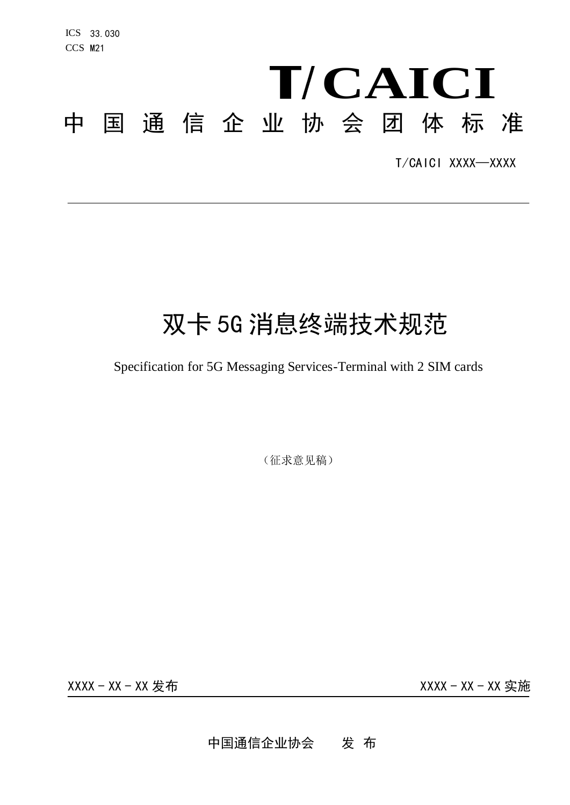# **CAICI** 中 国 通信企业协会 团 体 标 准

T/CAICI XXXX—XXXX

# 双卡 5G 消息终端技术规范

## Specification for 5G Messaging Services-Terminal with 2 SIM cards

(征求意见稿)

XXXX - XX - XX 发布 XXXX - XX - XX 实施

中国通信企业协会 发 布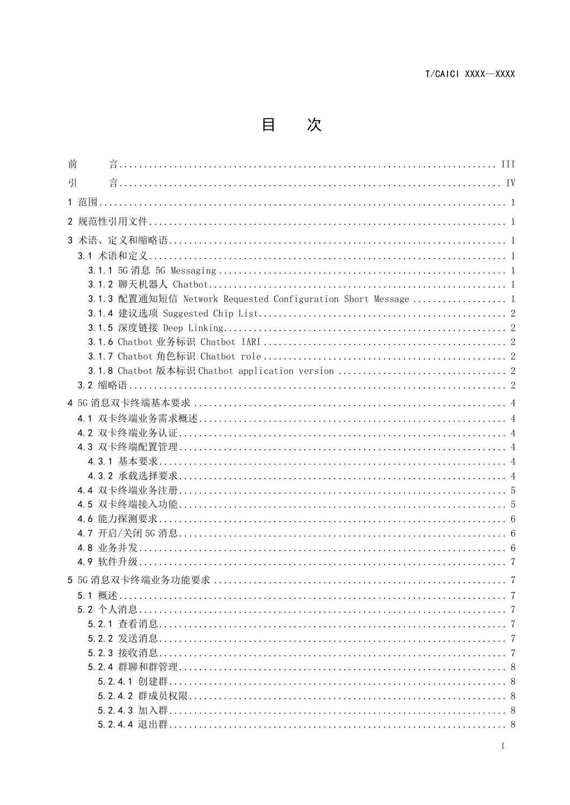目 次

| 前 |                                                               |  |
|---|---------------------------------------------------------------|--|
| 引 |                                                               |  |
|   |                                                               |  |
|   |                                                               |  |
|   |                                                               |  |
|   |                                                               |  |
|   |                                                               |  |
|   |                                                               |  |
|   |                                                               |  |
|   | 3.1.3 配置通知短信 Network Requested Configuration Short Message  1 |  |
|   |                                                               |  |
|   |                                                               |  |
|   |                                                               |  |
|   |                                                               |  |
|   |                                                               |  |
|   |                                                               |  |
|   |                                                               |  |
|   |                                                               |  |
|   |                                                               |  |
|   |                                                               |  |
|   |                                                               |  |
|   |                                                               |  |
|   |                                                               |  |
|   |                                                               |  |
|   |                                                               |  |
|   |                                                               |  |
|   |                                                               |  |
|   |                                                               |  |
|   |                                                               |  |
|   |                                                               |  |
|   |                                                               |  |
|   |                                                               |  |
|   |                                                               |  |
|   |                                                               |  |
|   |                                                               |  |
|   |                                                               |  |
|   |                                                               |  |
|   |                                                               |  |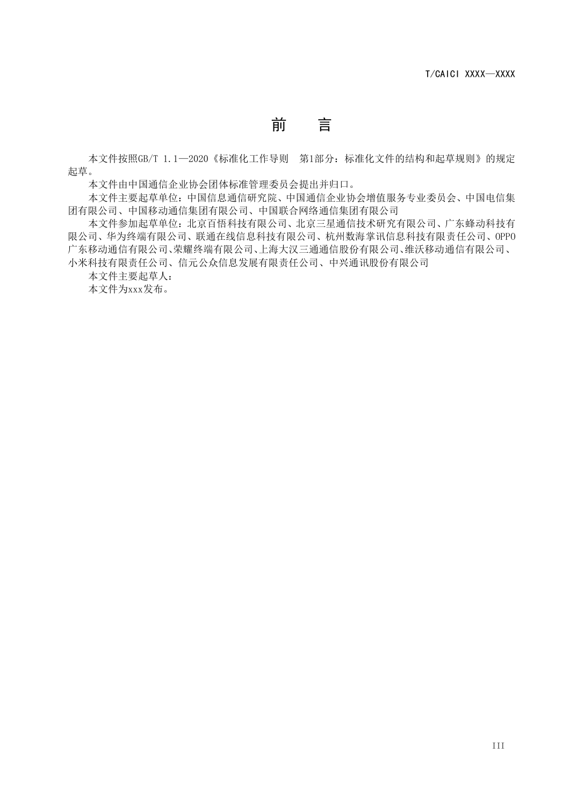# 前 言

<span id="page-3-0"></span>本文件按照GB/T 1.1-2020《标准化工作导则 第1部分: 标准化文件的结构和起草规则》的规定 起草。

本文件由中国通信企业协会团体标准管理委员会提出并归口。

本文件主要起草单位:中国信息通信研究院、中国通信企业协会增值服务专业委员会、中国电信集 团有限公司、中国移动通信集团有限公司、中国联合网络通信集团有限公司

本文件参加起草单位:北京百悟科技有限公司、北京三星通信技术研究有限公司、广东蜂动科技有 限公司、华为终端有限公司、联通在线信息科技有限公司、杭州数海掌讯信息科技有限责任公司、OPPO 广东移动通信有限公司、荣耀终端有限公司、上海大汉三通通信股份有限公司、维沃移动通信有限公司、 小米科技有限责任公司、信元公众信息发展有限责任公司、中兴通讯股份有限公司

本文件主要起草人:

本文件为xxx发布。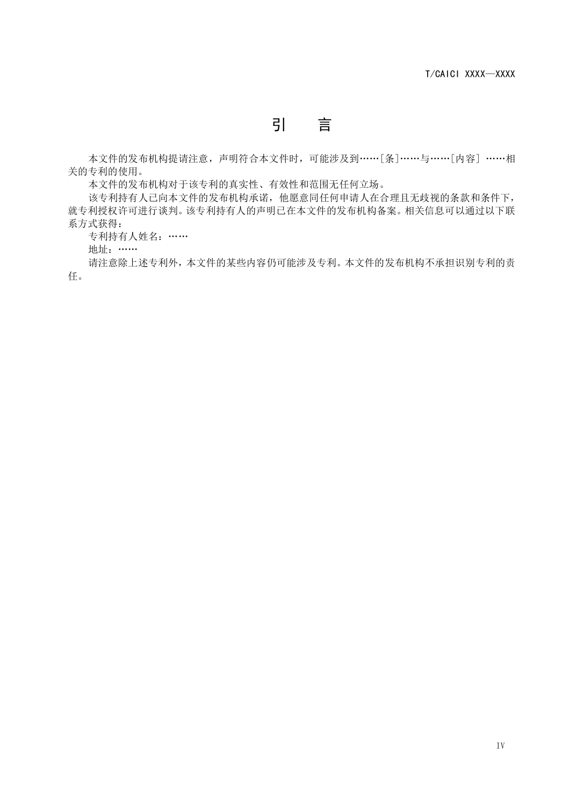引 言

<span id="page-4-0"></span>本文件的发布机构提请注意,声明符合本文件时,可能涉及到 …… [条] …… 与…… [内容] …… 相 关的专利的使用。

本文件的发布机构对于该专利的真实性、有效性和范围无任何立场。

该专利持有人已向本文件的发布机构承诺,他愿意同任何申请人在合理且无歧视的条款和条件下, 就专利授权许可进行谈判。该专利持有人的声明已在本文件的发布机构备案。相关信息可以通过以下联 系方式获得:

专利持有人姓名: ……

地址: ……

请注意除上述专利外,本文件的某些内容仍可能涉及专利。本文件的发布机构不承担识别专利的责 任。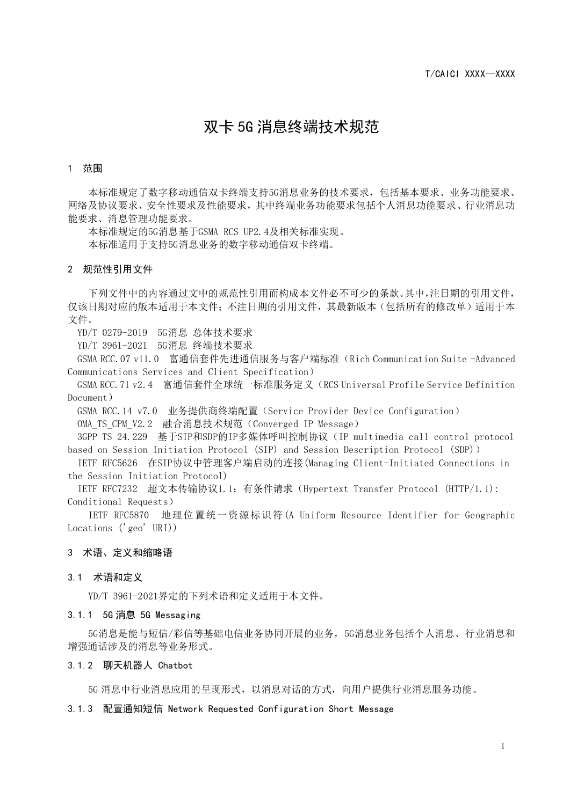### 双卡 5G 消息终端技术规范

#### <span id="page-5-0"></span>1 范围

本标准规定了数字移动通信双卡终端支持5G消息业务的技术要求,包括基本要求、业务功能要求、 网络及协议要求、安全性要求及性能要求,其中终端业务功能要求包括个人消息功能要求、行业消息功 能要求、消息管理功能要求。

本标准规定的5G消息基于GSMA RCS UP2.4及相关标准实现。

本标准适用于支持5G消息业务的数字移动通信双卡终端。

#### <span id="page-5-1"></span>2 规范性引用文件

下列文件中的内容通过文中的规范性引用而构成本文件必不可少的条款。其中,注日期的引用文件, 仅该日期对应的版本适用于本文件;不注日期的引用文件,其最新版本(包括所有的修改单)适用于本 文件。

YD/T 0279-2019 5G消息 总体技术要求

YD/T 3961-2021 5G消息 终端技术要求

GSMA RCC.07 v11.0 富通信套件先进通信服务与客户端标准(Rich Communication Suite -Advanced Communications Services and Client Specification)

GSMA RCC.71 v2.4 富通信套件全球统一标准服务定义(RCS Universal Profile Service Definition Document)

GSMA RCC.14 v7.0 业务提供商终端配置(Service Provider Device Configuration)

OMA TS CPM V2.2 融合消息技术规范 (Converged IP Message)

3GPP TS 24.229 基于SIP和SDP的IP多媒体呼叫控制协议(IP multimedia call control protocol based on Session Initiation Protocol (SIP) and Session Description Protocol (SDP))

IETF RFC5626 在SIP协议中管理客户端启动的连接(Managing Client-Initiated Connections in the Session Initiation Protocol)

IETF RFC7232 超文本传输协议1.1:有条件请求(Hypertext Transfer Protocol (HTTP/1.1): Conditional Requests)

IETF RFC5870 地理位置统一资源标识符(A Uniform Resource Identifier for Geographic Locations ('geo' URI))

#### <span id="page-5-2"></span>3 术语、定义和缩略语

#### <span id="page-5-3"></span>3.1 术语和定义

YD/T 3961-2021界定的下列术语和定义适用于本文件。

#### <span id="page-5-4"></span>3.1.1 5G 消息 5G Messaging

5G消息是能与短信/彩信等基础电信业务协同开展的业务,5G消息业务包括个人消息、行业消息和 增强通话涉及的消息等业务形式。

#### <span id="page-5-5"></span>3.1.2 聊天机器人 Chatbot

5G 消息中行业消息应用的呈现形式,以消息对话的方式,向用户提供行业消息服务功能。

#### <span id="page-5-6"></span>3.1.3 配置通知短信 Network Requested Configuration Short Message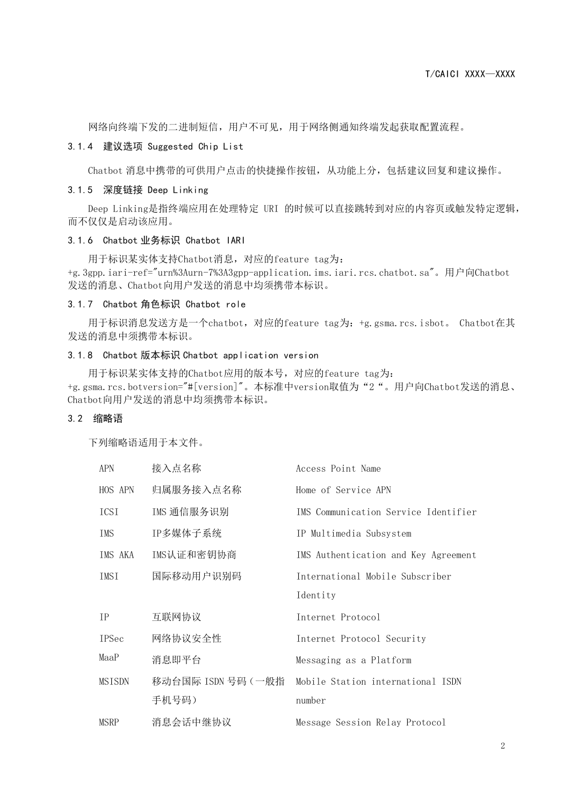网络向终端下发的二进制短信,用户不可见,用于网络侧通知终端发起获取配置流程。

#### <span id="page-6-0"></span>3.1.4 建议选项 Suggested Chip List

Chatbot 消息中携带的可供用户点击的快捷操作按钮,从功能上分,包括建议回复和建议操作。

#### <span id="page-6-1"></span>3.1.5 深度链接 Deep Linking

Deep Linking是指终端应用在处理特定 URI 的时候可以直接跳转到对应的内容页或触发特定逻辑, 而不仅仅是启动该应用。

#### <span id="page-6-2"></span>3.1.6 Chatbot 业务标识 Chatbot IARI

用于标识某实体支持Chatbot消息,对应的feature tag为: +g.3gpp.iari-ref="urn%3Aurn-7%3A3gpp-application.ims.iari.rcs.chatbot.sa"。用户向Chatbot 发送的消息、Chatbot向用户发送的消息中均须携带本标识。

#### <span id="page-6-3"></span>3.1.7 Chatbot 角色标识 Chatbot role

用于标识消息发送方是一个chatbot,对应的feature tag为: +g.gsma.rcs.isbot。 Chatbot在其 发送的消息中须携带本标识。

#### <span id="page-6-4"></span>3.1.8 Chatbot 版本标识 Chatbot application version

用于标识某实体支持的Chatbot应用的版本号,对应的feature tag为: +g.gsma.rcs.botversion="#[version]"。本标准中version取值为"2"。用户向Chatbot发送的消息、 Chatbot向用户发送的消息中均须携带本标识。

#### <span id="page-6-5"></span>3.2 缩略语

下列缩略语适用于本文件。

| APN          | 接入点名称              | Access Point Name                    |
|--------------|--------------------|--------------------------------------|
| HOS APN      | 归属服务接入点名称          | Home of Service APN                  |
| ICSI         | IMS 通信服务识别         | IMS Communication Service Identifier |
| IMS          | IP多媒体子系统           | IP Multimedia Subsystem              |
| IMS AKA      | IMS认证和密钥协商         | IMS Authentication and Key Agreement |
| IMSI         | 国际移动用户识别码          | International Mobile Subscriber      |
|              |                    | Identity                             |
| <b>IP</b>    | 互联网协议              | Internet Protocol                    |
| <b>IPSec</b> | 网络协议安全性            | Internet Protocol Security           |
| MaaP         | 消息即平台              | Messaging as a Platform              |
| MSISDN       | 移动台国际 ISDN 号码 (一般指 | Mobile Station international ISDN    |
|              | 手机号码)              | number                               |
| MSRP         | 消息会话中继协议           | Message Session Relay Protocol       |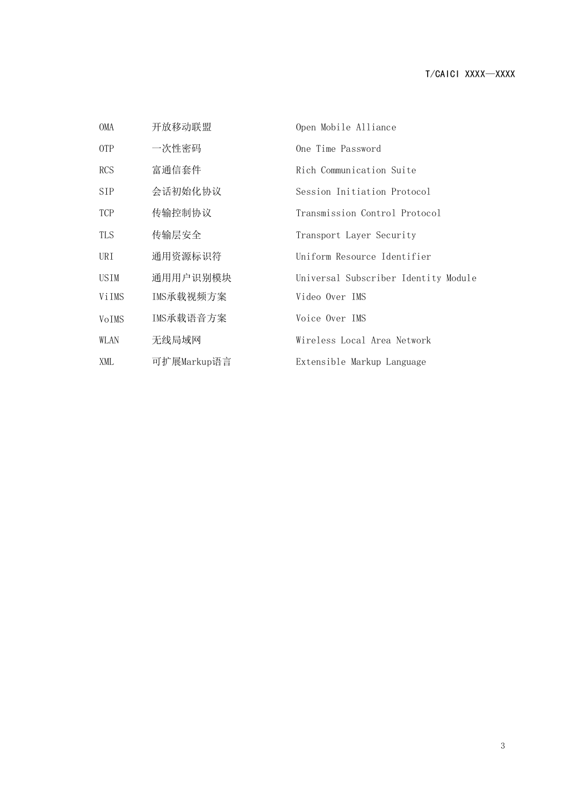| OMA        | 开放移动联盟      | Open Mobile Alliance                 |
|------------|-------------|--------------------------------------|
| 0TP        | 一次性密码       | One Time Password                    |
| <b>RCS</b> | 富通信套件       | Rich Communication Suite             |
| <b>SIP</b> | 会话初始化协议     | Session Initiation Protocol          |
| <b>TCP</b> | 传输控制协议      | Transmission Control Protocol        |
| TLS        | 传输层安全       | Transport Layer Security             |
| URI        | 通用资源标识符     | Uniform Resource Identifier          |
| USIM       | 通用用户识别模块    | Universal Subscriber Identity Module |
| ViIMS      | IMS承载视频方案   | Video Over IMS                       |
| VoIMS      | IMS承载语音方案   | Voice Over IMS                       |
| WLAN       | 无线局域网       | Wireless Local Area Network          |
| XML        | 可扩展Markup语言 | Extensible Markup Language           |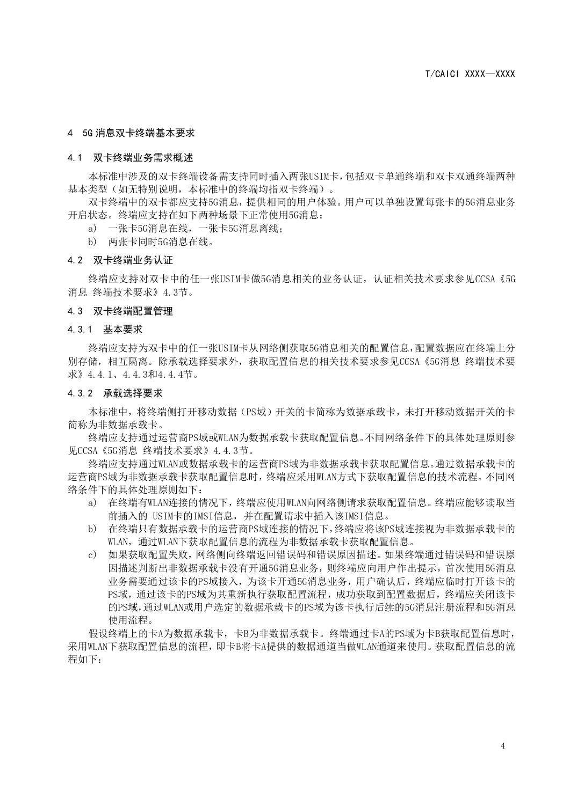#### <span id="page-8-0"></span>4 5G 消息双卡终端基本要求

#### <span id="page-8-1"></span>4.1 双卡终端业务需求概述

本标准中涉及的双卡终端设备需支持同时插入两张USIM卡,包括双卡单通终端和双卡双通终端两种 基本类型(如无特别说明,本标准中的终端均指双卡终端)。

双卡终端中的双卡都应支持5G消息,提供相同的用户体验。用户可以单独设置每张卡的5G消息业务 开启状态。终端应支持在如下两种场景下正常使用5G消息:

a) 一张卡5G消息在线,一张卡5G消息离线;

b) 两张卡同时5G消息在线。

#### <span id="page-8-2"></span>4.2 双卡终端业务认证

终端应支持对双卡中的任一张USIM卡做5G消息相关的业务认证,认证相关技术要求参见CCSA《5G 消息 终端技术要求》4.3节。

#### <span id="page-8-3"></span>4.3 双卡终端配置管理

#### <span id="page-8-4"></span>4.3.1 基本要求

终端应支持为双卡中的任一张USIM卡从网络侧获取5G消息相关的配置信息,配置数据应在终端上分 别存储,相互隔离。除承载选择要求外,获取配置信息的相关技术要求参见CCSA《5G消息 终端技术要 求》4.4.1、4.4.3和4.4.4节。

#### <span id="page-8-5"></span>4.3.2 承载选择要求

本标准中,将终端侧打开移动数据(PS域)开关的卡简称为数据承载卡,未打开移动数据开关的卡 简称为非数据承载卡。

终端应支持通过运营商PS域或WLAN为数据承载卡获取配置信息。不同网络条件下的具体处理原则参 见CCSA《5G消息 终端技术要求》4.4.3节。

终端应支持通过WLAN或数据承载卡的运营商PS域为非数据承载卡获取配置信息。通过数据承载卡的 运营商PS域为非数据承载卡获取配置信息时,终端应采用WLAN方式下获取配置信息的技术流程。不同网 络条件下的具体处理原则如下:

- a) 在终端有WLAN连接的情况下,终端应使用WLAN向网络侧请求获取配置信息。终端应能够读取当 前插入的 USIM卡的IMSI信息,并在配置请求中插入该IMSI信息。
- b) 在终端只有数据承载卡的运营商PS域连接的情况下,终端应将该PS域连接视为非数据承载卡的 WLAN,通过WLAN下获取配置信息的流程为非数据承载卡获取配置信息。
- c) 如果获取配置失败,网络侧向终端返回错误码和错误原因描述。如果终端通过错误码和错误原 因描述判断出非数据承载卡没有开通5G消息业务,则终端应向用户作出提示,首次使用5G消息 业务需要通过该卡的PS域接入,为该卡开通5G消息业务,用户确认后,终端应临时打开该卡的 PS域,通过该卡的PS域为其重新执行获取配置流程,成功获取到配置数据后,终端应关闭该卡 的PS域,通过WLAN或用户选定的数据承载卡的PS域为该卡执行后续的5G消息注册流程和5G消息 使用流程。

假设终端上的卡A为数据承载卡,卡B为非数据承载卡。终端通过卡A的PS域为卡B获取配置信息时, 采用WLAN下获取配置信息的流程,即卡B将卡A提供的数据通道当做WLAN通道来使用。获取配置信息的流 程如下: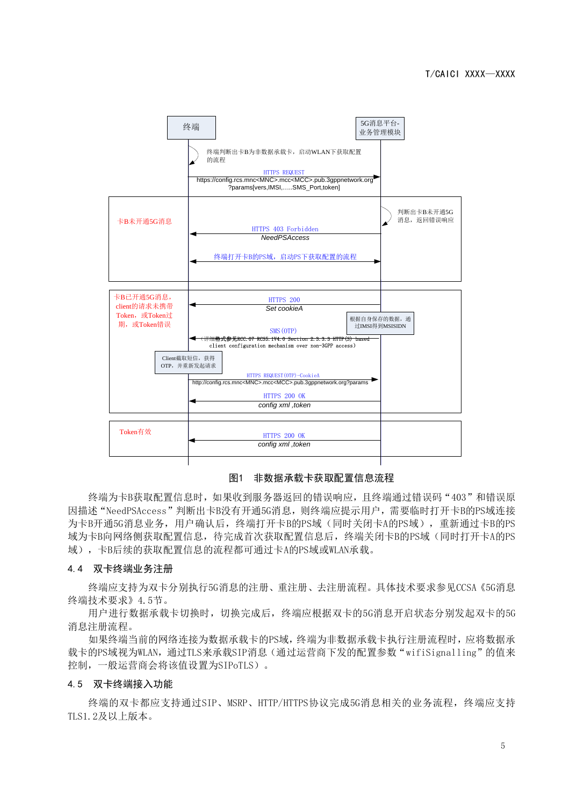

#### 图1 非数据承载卡获取配置信息流程

终端为卡B获取配置信息时,如果收到服务器返回的错误响应,且终端通过错误码"403"和错误原 因描述"NeedPSAccess"判断出卡B没有开通5G消息,则终端应提示用户,需要临时打开卡B的PS域连接 为卡B开通5G消息业务,用户确认后,终端打开卡B的PS域(同时关闭卡A的PS域),重新通过卡B的PS 域为卡B向网络侧获取配置信息,待完成首次获取配置信息后,终端关闭卡B的PS域(同时打开卡A的PS 域),卡B后续的获取配置信息的流程都可通过卡A的PS域或WLAN承载。

#### <span id="page-9-0"></span>4.4 双卡终端业务注册

终端应支持为双卡分别执行5G消息的注册、重注册、去注册流程。具体技术要求参见CCSA《5G消息 终端技术要求》4.5节。

用户进行数据承载卡切换时,切换完成后,终端应根据双卡的5G消息开启状态分别发起双卡的5G 消息注册流程。

如果终端当前的网络连接为数据承载卡的PS域,终端为非数据承载卡执行注册流程时,应将数据承 载卡的PS域视为WLAN,通过TLS来承载SIP消息(通过运营商下发的配置参数"wifiSignalling"的值来 控制,一般运营商会将该值设置为SIPoTLS)。

#### <span id="page-9-1"></span>4.5 双卡终端接入功能

终端的双卡都应支持通过SIP、MSRP、HTTP/HTTPS协议完成5G消息相关的业务流程,终端应支持 TLS1.2及以上版本。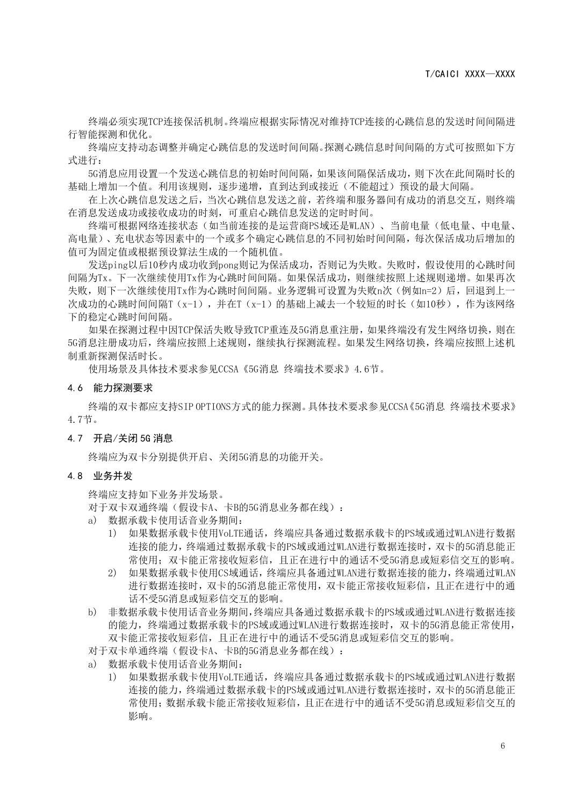终端必须实现TCP连接保活机制。终端应根据实际情况对维持TCP连接的心跳信息的发送时间间隔进 行智能探测和优化。

终端应支持动态调整并确定心跳信息的发送时间间隔。探测心跳信息时间间隔的方式可按照如下方 式进行:

5G消息应用设置一个发送心跳信息的初始时间间隔,如果该间隔保活成功,则下次在此间隔时长的 基础上增加一个值。利用该规则,逐步递增,直到达到或接近(不能超过)预设的最大间隔。

在上次心跳信息发送之后,当次心跳信息发送之前,若终端和服务器间有成功的消息交互,则终端 在消息发送成功或接收成功的时刻,可重启心跳信息发送的定时时间。

终端可根据网络连接状态(如当前连接的是运营商PS域还是WLAN)、当前电量(低电量、中电量、 高电量)、充电状态等因素中的一个或多个确定心跳信息的不同初始时间间隔,每次保活成功后增加的 值可为固定值或根据预设算法生成的一个随机值。

发送ping以后10秒内成功收到pong则记为保活成功,否则记为失败。失败时,假设使用的心跳时间 间隔为Tx。下一次继续使用Tx作为心跳时间间隔。如果保活成功,则继续按照上述规则递增。如果再次 失败,则下一次继续使用Tx作为心跳时间间隔。业务逻辑可设置为失败n次(例如n=2)后,回退到上一 次成功的心跳时间间隔T(x-1),并在T(x-1)的基础上减去一个较短的时长(如10秒),作为该网络 下的稳定心跳时间间隔。

如果在探测过程中因TCP保活失败导致TCP重连及5G消息重注册,如果终端没有发生网络切换,则在 5G消息注册成功后,终端应按照上述规则,继续执行探测流程。如果发生网络切换,终端应按照上述机 制重新探测保活时长。

使用场景及具体技术要求参见CCSA《5G消息 终端技术要求》4.6节。

#### <span id="page-10-0"></span>4.6 能力探测要求

终端的双卡都应支持SIP OPTIONS方式的能力探测。具体技术要求参见CCSA《5G消息 终端技术要求》 4.7节。

#### <span id="page-10-1"></span>4.7 开启/关闭 5G 消息

终端应为双卡分别提供开启、关闭5G消息的功能开关。

#### <span id="page-10-2"></span>4.8 业务并发

终端应支持如下业务并发场景。

对于双卡双通终端(假设卡A、卡B的5G消息业务都在线):

- a) 数据承载卡使用话音业务期间:
	- 1) 如果数据承载卡使用VoLTE通话,终端应具备通过数据承载卡的PS域或通过WLAN进行数据 连接的能力,终端通过数据承载卡的PS域或通过WLAN进行数据连接时,双卡的5G消息能正 常使用;双卡能正常接收短彩信,且正在进行中的通话不受5G消息或短彩信交互的影响。
	- 2) 如果数据承载卡使用CS域通话,终端应具备通过WLAN进行数据连接的能力,终端通过WLAN 进行数据连接时,双卡的5G消息能正常使用,双卡能正常接收短彩信,且正在进行中的通 话不受5G消息或短彩信交互的影响。
- b) 非数据承载卡使用话音业务期间,终端应具备通过数据承载卡的PS域或通过WLAN进行数据连接 的能力,终端通过数据承载卡的PS域或通过WLAN进行数据连接时,双卡的5G消息能正常使用, 双卡能正常接收短彩信,且正在进行中的通话不受5G消息或短彩信交互的影响。
- 对于双卡单通终端(假设卡A、卡B的5G消息业务都在线):
- a) 数据承载卡使用话音业务期间:
	- 1) 如果数据承载卡使用VoLTE通话,终端应具备通过数据承载卡的PS域或通过WLAN进行数据 连接的能力,终端通过数据承载卡的PS域或通过WLAN进行数据连接时,双卡的5G消息能正 常使用;数据承载卡能正常接收短彩信,且正在进行中的通话不受5G消息或短彩信交互的 影响。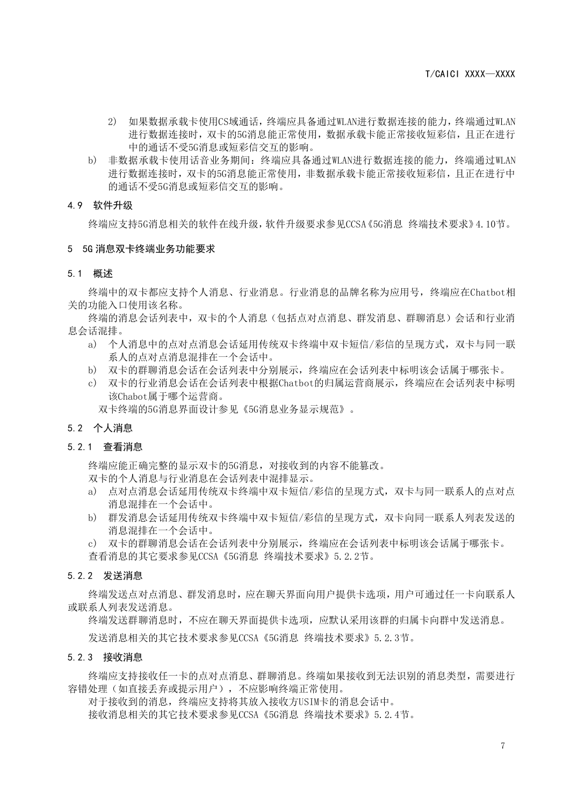- 2) 如果数据承载卡使用CS域通话,终端应具备通过WLAN进行数据连接的能力,终端通过WLAN 进行数据连接时,双卡的5G消息能正常使用,数据承载卡能正常接收短彩信,且正在进行 中的通话不受5G消息或短彩信交互的影响。
- b) 非数据承载卡使用话音业务期间:终端应具备通过WLAN进行数据连接的能力,终端通过WLAN 进行数据连接时,双卡的5G消息能正常使用,非数据承载卡能正常接收短彩信,且正在进行中 的通话不受5G消息或短彩信交互的影响。

#### <span id="page-11-0"></span>4.9 软件升级

终端应支持5G消息相关的软件在线升级,软件升级要求参见CCSA《5G消息 终端技术要求》4.10节。

#### <span id="page-11-1"></span>5 5G 消息双卡终端业务功能要求

#### <span id="page-11-2"></span>5.1 概述

终端中的双卡都应支持个人消息、行业消息。行业消息的品牌名称为应用号,终端应在Chatbot相 关的功能入口使用该名称。

终端的消息会话列表中,双卡的个人消息(包括点对点消息、群发消息、群聊消息)会话和行业消 息会话混排。

- a) 个人消息中的点对点消息会话延用传统双卡终端中双卡短信/彩信的呈现方式,双卡与同一联 系人的点对点消息混排在一个会话中。
- b) 双卡的群聊消息会话在会话列表中分别展示,终端应在会话列表中标明该会话属于哪张卡。
- c) 双卡的行业消息会话在会话列表中根据Chatbot的归属运营商展示,终端应在会话列表中标明 该Chabot属于哪个运营商。

双卡终端的5G消息界面设计参见《5G消息业务显示规范》。

#### <span id="page-11-3"></span>5.2 个人消息

#### <span id="page-11-4"></span>5.2.1 查看消息

终端应能正确完整的显示双卡的5G消息,对接收到的内容不能篡改。

双卡的个人消息与行业消息在会话列表中混排显示。

- a) 点对点消息会话延用传统双卡终端中双卡短信/彩信的呈现方式,双卡与同一联系人的点对点 消息混排在一个会话中。
- b) 群发消息会话延用传统双卡终端中双卡短信/彩信的呈现方式,双卡向同一联系人列表发送的 消息混排在一个会话中。

c) 双卡的群聊消息会话在会话列表中分别展示,终端应在会话列表中标明该会话属于哪张卡。 查看消息的其它要求参见CCSA《5G消息 终端技术要求》5.2.2节。

#### <span id="page-11-5"></span>5.2.2 发送消息

终端发送点对点消息、群发消息时,应在聊天界面向用户提供卡选项,用户可通过任一卡向联系人 或联系人列表发送消息。

终端发送群聊消息时,不应在聊天界面提供卡选项,应默认采用该群的归属卡向群中发送消息。

发送消息相关的其它技术要求参见CCSA《5G消息 终端技术要求》5.2.3节。

#### <span id="page-11-6"></span>5.2.3 接收消息

终端应支持接收任一卡的点对点消息、群聊消息。终端如果接收到无法识别的消息类型,需要进行 容错处理(如直接丢弃或提示用户),不应影响终端正常使用。

对于接收到的消息,终端应支持将其放入接收方USIM卡的消息会话中。

接收消息相关的其它技术要求参见CCSA《5G消息 终端技术要求》5.2.4节。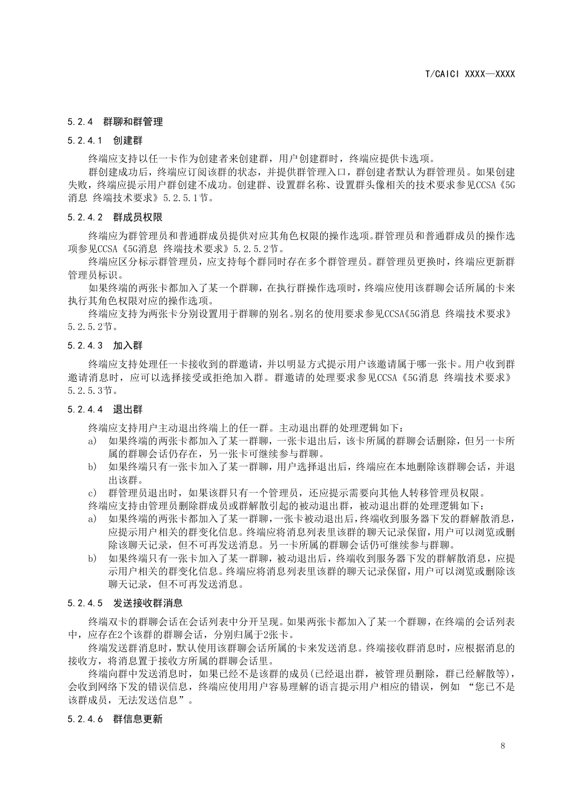#### <span id="page-12-0"></span>5.2.4 群聊和群管理

#### <span id="page-12-1"></span>5.2.4.1 创建群

终端应支持以任一卡作为创建者来创建群,用户创建群时,终端应提供卡选项。

群创建成功后,终端应订阅该群的状态,并提供群管理入口,群创建者默认为群管理员。如果创建 失败,终端应提示用户群创建不成功。创建群、设置群名称、设置群头像相关的技术要求参见CCSA《5G 消息 终端技术要求》5.2.5.1节。

#### <span id="page-12-2"></span>5.2.4.2 群成员权限

终端应为群管理员和普通群成员提供对应其角色权限的操作选项。群管理员和普通群成员的操作选 项参见CCSA《5G消息 终端技术要求》5.2.5.2节。

终端应区分标示群管理员,应支持每个群同时存在多个群管理员。群管理员更换时,终端应更新群 管理员标识。

如果终端的两张卡都加入了某一个群聊,在执行群操作选项时,终端应使用该群聊会话所属的卡来 执行其角色权限对应的操作选项。

终端应支持为两张卡分别设置用于群聊的别名。别名的使用要求参见CCSA《5G消息 终端技术要求》 5.2.5.2节。

#### <span id="page-12-3"></span>5.2.4.3 加入群

终端应支持处理任一卡接收到的群邀请,并以明显方式提示用户该邀请属于哪一张卡。用户收到群 邀请消息时,应可以选择接受或拒绝加入群。群邀请的处理要求参见CCSA《5G消息 终端技术要求》 5.2.5.3节。

#### <span id="page-12-4"></span>5.2.4.4 退出群

终端应支持用户主动退出终端上的任一群。主动退出群的处理逻辑如下:

- a) 如果终端的两张卡都加入了某一群聊,一张卡退出后,该卡所属的群聊会话删除,但另一卡所 属的群聊会话仍存在,另一张卡可继续参与群聊。
- b) 如果终端只有一张卡加入了某一群聊,用户选择退出后,终端应在本地删除该群聊会话,并退 出该群。
- c) 群管理员退出时,如果该群只有一个管理员,还应提示需要向其他人转移管理员权限。

终端应支持由管理员删除群成员或群解散引起的被动退出群,被动退出群的处理逻辑如下:

- a) 如果终端的两张卡都加入了某一群聊,一张卡被动退出后,终端收到服务器下发的群解散消息, 应提示用户相关的群变化信息。终端应将消息列表里该群的聊天记录保留,用户可以浏览或删 除该聊天记录,但不可再发送消息。另一卡所属的群聊会话仍可继续参与群聊。
- b) 如果终端只有一张卡加入了某一群聊,被动退出后,终端收到服务器下发的群解散消息,应提 示用户相关的群变化信息。终端应将消息列表里该群的聊天记录保留,用户可以浏览或删除该 聊天记录,但不可再发送消息。

#### <span id="page-12-5"></span>5.2.4.5 发送接收群消息

终端双卡的群聊会话在会话列表中分开呈现。如果两张卡都加入了某一个群聊,在终端的会话列表 中,应存在2个该群的群聊会话,分别归属于2张卡。

终端发送群消息时,默认使用该群聊会话所属的卡来发送消息。终端接收群消息时,应根据消息的 接收方,将消息置于接收方所属的群聊会话里。

终端向群中发送消息时,如果已经不是该群的成员(已经退出群,被管理员删除,群已经解散等), 会收到网络下发的错误信息,终端应使用用户容易理解的语言提示用户相应的错误,例如 "您已不是 该群成员,无法发送信息"。

#### <span id="page-12-6"></span>5.2.4.6 群信息更新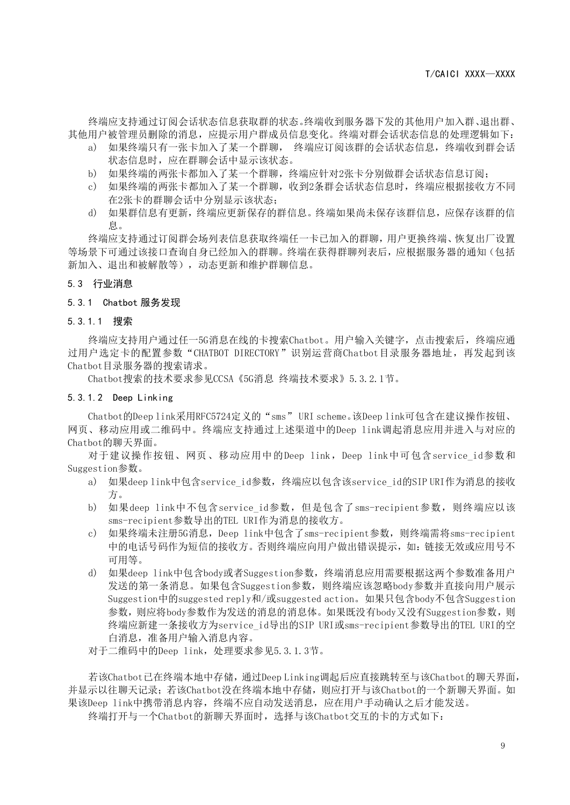终端应支持通过订阅会话状态信息获取群的状态。终端收到服务器下发的其他用户加入群、退出群、 其他用户被管理员删除的消息,应提示用户群成员信息变化。终端对群会话状态信息的处理逻辑如下:

- a) 如果终端只有一张卡加入了某一个群聊, 终端应订阅该群的会话状态信息,终端收到群会话 状态信息时,应在群聊会话中显示该状态。
- b) 如果终端的两张卡都加入了某一个群聊,终端应针对2张卡分别做群会话状态信息订阅;
- c) 如果终端的两张卡都加入了某一个群聊,收到2条群会话状态信息时,终端应根据接收方不同 在2张卡的群聊会话中分别显示该状态;
- d) 如果群信息有更新,终端应更新保存的群信息。终端如果尚未保存该群信息,应保存该群的信 息。

终端应支持通过订阅群会场列表信息获取终端任一卡已加入的群聊,用户更换终端、恢复出厂设置 等场景下可通过该接口查询自身已经加入的群聊。终端在获得群聊列表后,应根据服务器的通知(包括 新加入、退出和被解散等), 动态更新和维护群聊信息。

#### <span id="page-13-0"></span>5.3 行业消息

#### <span id="page-13-1"></span>5.3.1 Chatbot 服务发现

#### <span id="page-13-2"></span>5.3.1.1 搜索

终端应支持用户通过任一5G消息在线的卡搜索Chatbot。用户输入关键字,点击搜索后,终端应通 过用户选定卡的配置参数"CHATBOT DIRECTORY"识别运营商Chatbot目录服务器地址,再发起到该 Chatbot目录服务器的搜索请求。

Chatbot搜索的技术要求参见CCSA《5G消息 终端技术要求》5.3.2.1节。

#### <span id="page-13-3"></span>5.3.1.2 Deep Linking

Chatbot的Deep link采用RFC5724定义的"sms" URI scheme。该Deep link可包含在建议操作按钮、 网页、移动应用或二维码中。终端应支持通过上述渠道中的Deep link调起消息应用并进入与对应的 Chatbot的聊天界面。

对于建议操作按钮、网页、移动应用中的Deep link, Deep link中可包含service\_id参数和 Suggestion参数。

- a) 如果deep link中包含service\_id参数,终端应以包含该service\_id的SIP URI作为消息的接收 方。
- b) 如果deep link中不包含service id参数, 但是包含了sms-recipient参数, 则终端应以该 sms-recipient参数导出的TEL URI作为消息的接收方。
- c) 如果终端未注册5G消息,Deep link中包含了sms-recipient参数,则终端需将sms-recipient 中的电话号码作为短信的接收方。否则终端应向用户做出错误提示,如:链接无效或应用号不 可用等。
- d) 如果deep link中包含body或者Suggestion参数,终端消息应用需要根据这两个参数准备用户 发送的第一条消息。如果包含Suggestion参数,则终端应该忽略body参数并直接向用户展示 Suggestion中的suggested reply和/或suggested action。如果只包含body不包含Suggestion 参数,则应将body参数作为发送的消息的消息体。如果既没有body又没有Suggestion参数,则 终端应新建一条接收方为service\_id导出的SIP\_URI或sms-recipient参数导出的TEL\_URI的空 白消息,准备用户输入消息内容。
- 对于二维码中的Deep link,处理要求参见5.3.1.3节。

若该Chatbot已在终端本地中存储,通过Deep Linking调起后应直接跳转至与该Chatbot的聊天界面, 并显示以往聊天记录;若该Chatbot没在终端本地中存储,则应打开与该Chatbot的一个新聊天界面。如 果该Deep link中携带消息内容,终端不应自动发送消息,应在用户手动确认之后才能发送。

终端打开与一个Chatbot的新聊天界面时,选择与该Chatbot交互的卡的方式如下: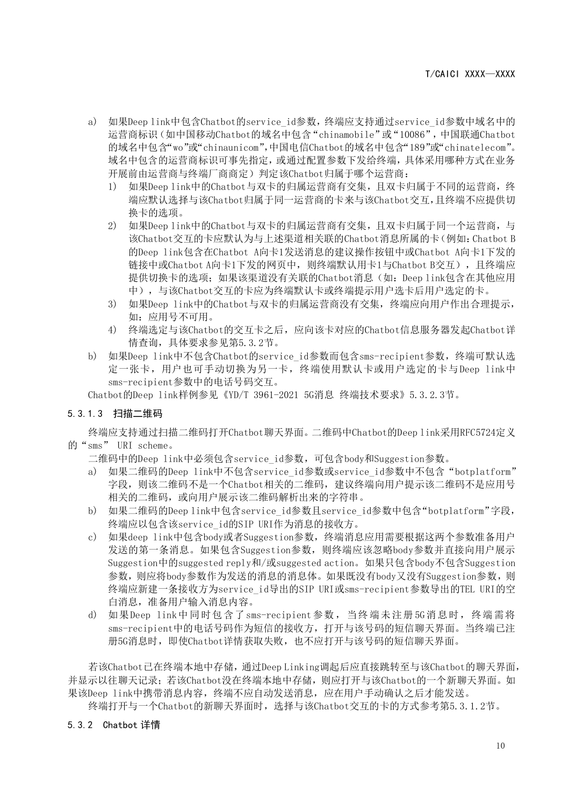- a) 如果Deep link中包含Chatbot的service\_id参数,终端应支持通过service\_id参数中域名中的 运营商标识(如中国移动Chatbot的域名中包含"chinamobile"或"10086",中国联通Chatbot 的域名中包含"wo"或"chinaunicom",中国电信Chatbot的域名中包含"189"或"chinatelecom"。 域名中包含的运营商标识可事先指定,或通过配置参数下发给终端,具体采用哪种方式在业务 开展前由运营商与终端厂商商定)判定该Chatbot归属于哪个运营商:
	- 1) 如果Deep link中的Chatbot与双卡的归属运营商有交集,且双卡归属于不同的运营商,终 端应默认选择与该Chatbot归属于同一运营商的卡来与该Chatbot交互,且终端不应提供切 换卡的选项。
	- 2) 如果Deep link中的Chatbot与双卡的归属运营商有交集,且双卡归属于同一个运营商,与 该Chatbot交互的卡应默认为与上述渠道相关联的Chatbot消息所属的卡(例如:Chatbot B 的Deep link包含在Chatbot A向卡1发送消息的建议操作按钮中或Chatbot A向卡1下发的 链接中或Chatbot A向卡1下发的网页中,则终端默认用卡1与Chatbot B交互),且终端应 提供切换卡的选项;如果该渠道没有关联的Chatbot消息(如: Deep link包含在其他应用 中),与该Chatbot交互的卡应为终端默认卡或终端提示用户选卡后用户选定的卡。
	- 3) 如果Deep link中的Chatbot与双卡的归属运营商没有交集,终端应向用户作出合理提示, 如:应用号不可用。
	- 4) 终端选定与该Chatbot的交互卡之后,应向该卡对应的Chatbot信息服务器发起Chatbot详 情查询,具体要求参见第5.3.2节。
- b) 如果Deep link中不包含Chatbot的service id参数而包含sms-recipient参数,终端可默认选 定一张卡,用户也可手动切换为另一卡,终端使用默认卡或用户选定的卡与Deep link中 sms-recipient参数中的电话号码交互。

Chatbot的Deep link样例参见《YD/T 3961-2021 5G消息 终端技术要求》5.3.2.3节。

#### <span id="page-14-0"></span>5.3.1.3 扫描二维码

终端应支持通过扫描二维码打开Chatbot聊天界面。二维码中Chatbot的Deep link采用RFC5724定义 的"sms" URI scheme。

二维码中的Deep link中必须包含service id参数, 可包含body和Suggestion参数。

- a) 如果二维码的Deep link中不包含service id参数或service id参数中不包含 "botplatform" 字段, 则该二维码不是一个Chatbot相关的二维码, 建议终端向用户提示该二维码不是应用号 相关的二维码,或向用户展示该二维码解析出来的字符串。
- b) 如果二维码的Deep link中包含service\_id参数且service\_id参数中包含"botplatform"字段, 终端应以包含该service\_id的SIP\_URI作为消息的接收方。
- c) 如果deep link中包含body或者Suggestion参数,终端消息应用需要根据这两个参数准备用户 发送的第一条消息。如果包含Suggestion参数,则终端应该忽略body参数并直接向用户展示 Suggestion中的suggested reply和/或suggested action。如果只包含body不包含Suggestion 参数,则应将body参数作为发送的消息的消息体。如果既没有body又没有Suggestion参数,则 终端应新建一条接收方为service\_id导出的SIP URI或sms-recipient参数导出的TEL URI的空 白消息,准备用户输入消息内容。
- d) 如果Deep link中同时包含了sms-recipient参数,当终端未注册 5G消息时,终端需将 sms-recipient中的电话号码作为短信的接收方,打开与该号码的短信聊天界面。当终端已注 册5G消息时,即使Chatbot详情获取失败,也不应打开与该号码的短信聊天界面。

若该Chatbot已在终端本地中存储,通过Deep Linking调起后应直接跳转至与该Chatbot的聊天界面, 并显示以往聊天记录;若该Chatbot没在终端本地中存储,则应打开与该Chatbot的一个新聊天界面。如 果该Deep link中携带消息内容,终端不应自动发送消息,应在用户手动确认之后才能发送。

终端打开与一个Chatbot的新聊天界面时,选择与该Chatbot交互的卡的方式参考第5.3.1.2节。

#### <span id="page-14-1"></span>5.3.2 Chatbot 详情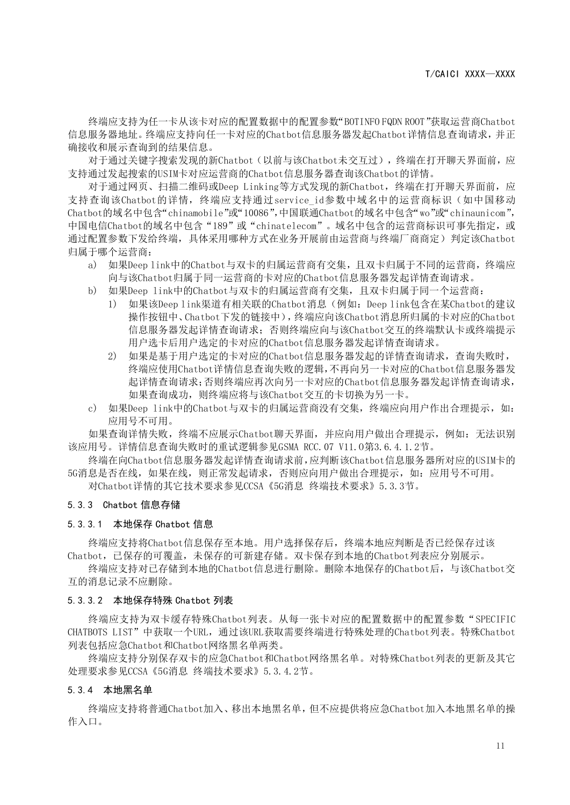终端应支持为任一卡从该卡对应的配置数据中的配置参数"BOTINFO FQDN ROOT"获取运营商Chatbot 信息服务器地址。终端应支持向任一卡对应的Chatbot信息服务器发起Chatbot详情信息查询请求,并正 确接收和展示查询到的结果信息。

对于通过关键字搜索发现的新Chatbot(以前与该Chatbot未交互过),终端在打开聊天界面前,应 支持通过发起搜索的USIM卡对应运营商的Chatbot信息服务器查询该Chatbot的详情。

对于通过网页、扫描二维码或Deep Linking等方式发现的新Chatbot,终端在打开聊天界面前,应 支持查询该Chatbot的详情,终端应支持通过service\_id参数中域名中的运营商标识(如中国移动 Chatbot的域名中包含"chinamobile"或"10086",中国联通Chatbot的域名中包含"wo"或"chinaunicom", 中国电信Chatbot的域名中包含"189"或"chinatelecom"。域名中包含的运营商标识可事先指定,或 通过配置参数下发给终端,具体采用哪种方式在业务开展前由运营商与终端厂商商定)判定该Chatbot 归属于哪个运营商:

- a) 如果Deep link中的Chatbot与双卡的归属运营商有交集,且双卡归属于不同的运营商,终端应 向与该Chatbot归属于同一运营商的卡对应的Chatbot信息服务器发起详情查询请求。
- b) 如果Deep link中的Chatbot与双卡的归属运营商有交集,且双卡归属于同一个运营商:
	- 1) 如果该Deep link渠道有相关联的Chatbot消息(例如:Deep link包含在某Chatbot的建议 操作按钮中、Chatbot下发的链接中),终端应向该Chatbot消息所归属的卡对应的Chatbot 信息服务器发起详情查询请求;否则终端应向与该Chatbot交互的终端默认卡或终端提示 用户选卡后用户选定的卡对应的Chatbot信息服务器发起详情查询请求。
	- 2) 如果是基于用户选定的卡对应的Chatbot信息服务器发起的详情查询请求,查询失败时, 终端应使用Chatbot详情信息查询失败的逻辑,不再向另一卡对应的Chatbot信息服务器发 起详情查询请求;否则终端应再次向另一卡对应的Chatbot信息服务器发起详情查询请求, 如果查询成功,则终端应将与该Chatbot交互的卡切换为另一卡。
- c) 如果Deep link中的Chatbot与双卡的归属运营商没有交集,终端应向用户作出合理提示,如: 应用号不可用。

如果查询详情失败,终端不应展示Chatbot聊天界面,并应向用户做出合理提示,例如:无法识别 该应用号。详情信息查询失败时的重试逻辑参见GSMA RCC.07 V11.O第3.6.4.1.2节。

终端在向Chatbot信息服务器发起详情查询请求前,应判断该Chatbot信息服务器所对应的USIM卡的 5G消息是否在线,如果在线,则正常发起请求,否则应向用户做出合理提示,如:应用号不可用。

对Chatbot详情的其它技术要求参见CCSA《5G消息 终端技术要求》5.3.3节。

#### <span id="page-15-0"></span>5.3.3 Chatbot 信息存储

#### <span id="page-15-1"></span>5.3.3.1 本地保存 Chatbot 信息

终端应支持将Chatbot信息保存至本地。用户选择保存后,终端本地应判断是否已经保存过该 Chatbot,已保存的可覆盖,未保存的可新建存储。双卡保存到本地的Chatbot列表应分别展示。

终端应支持对已存储到本地的Chatbot信息进行删除。删除本地保存的Chatbot后,与该Chatbot交 互的消息记录不应删除。

#### <span id="page-15-2"></span>5.3.3.2 本地保存特殊 Chatbot 列表

终端应支持为双卡缓存特殊Chatbot列表。从每一张卡对应的配置数据中的配置参数"SPECIFIC CHATBOTS LIST"中获取一个URL,通过该URL获取需要终端进行特殊处理的Chatbot列表。特殊Chatbot 列表包括应急Chatbot和Chatbot网络黑名单两类。

终端应支持分别保存双卡的应急Chatbot和Chatbot网络黑名单。对特殊Chatbot列表的更新及其它 处理要求参见CCSA《5G消息 终端技术要求》5.3.4.2节。

#### <span id="page-15-3"></span>5.3.4 本地黑名单

终端应支持将普通Chatbot加入、移出本地黑名单,但不应提供将应急Chatbot加入本地黑名单的操 作入口。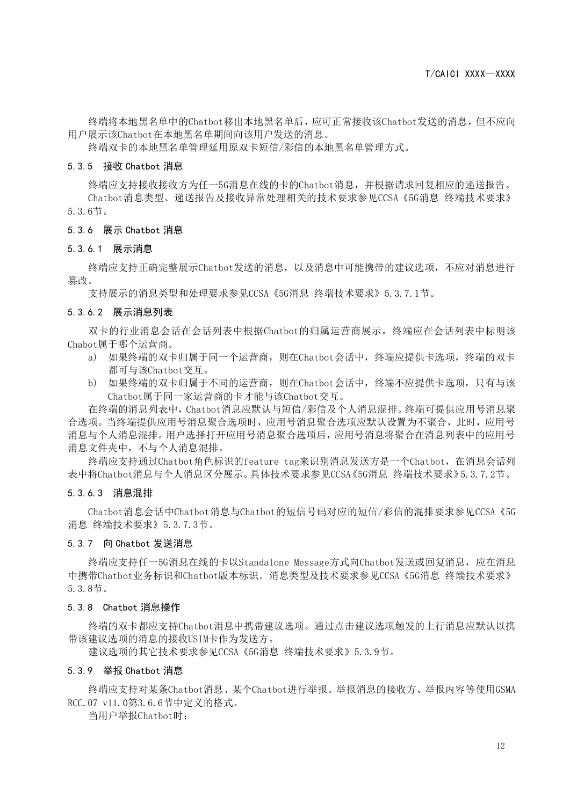终端将本地黑名单中的Chatbot移出本地黑名单后,应可正常接收该Chatbot发送的消息,但不应向 用户展示该Chatbot在本地黑名单期间向该用户发送的消息。

终端双卡的本地黑名单管理延用原双卡短信/彩信的本地黑名单管理方式。

#### <span id="page-16-0"></span>5.3.5 接收 Chatbot 消息

终端应支持接收接收方为任一5G消息在线的卡的Chatbot消息,并根据请求回复相应的递送报告。 Chatbot消息类型、递送报告及接收异常处理相关的技术要求参见CCSA《5G消息 终端技术要求》 5.3.6节。

#### <span id="page-16-1"></span>5.3.6 展示 Chatbot 消息

#### <span id="page-16-2"></span>5.3.6.1 展示消息

终端应支持正确完整展示Chatbot发送的消息,以及消息中可能携带的建议选项,不应对消息进行 篡改。

支持展示的消息类型和处理要求参见CCSA《5G消息 终端技术要求》5.3.7.1节。

#### <span id="page-16-3"></span>5.3.6.2 展示消息列表

双卡的行业消息会话在会话列表中根据Chatbot的归属运营商展示,终端应在会话列表中标明该 Chabot属于哪个运营商。

- a) 如果终端的双卡归属于同一个运营商,则在Chatbot会话中,终端应提供卡选项,终端的双卡 都可与该Chatbot交互。
- b) 如果终端的双卡归属于不同的运营商,则在Chatbot会话中,终端不应提供卡选项,只有与该 Chatbot属于同一家运营商的卡才能与该Chatbot交互。

在终端的消息列表中,Chatbot消息应默认与短信/彩信及个人消息混排。终端可提供应用号消息聚 合选项。当终端提供应用号消息聚合选项时,应用号消息聚合选项应默认设置为不聚合,此时,应用号 消息与个人消息混排。用户选择打开应用号消息聚合选项后,应用号消息将聚合在消息列表中的应用号 消息文件夹中,不与个人消息混排。

终端应支持通过Chatbot角色标识的feature tag来识别消息发送方是一个Chatbot,在消息会话列 表中将Chatbot消息与个人消息区分展示。具体技术要求参见CCSA《5G消息 终端技术要求》5.3.7.2节。

#### <span id="page-16-4"></span>5.3.6.3 消息混排

Chatbot消息会话中Chatbot消息与Chatbot的短信号码对应的短信/彩信的混排要求参见CCSA《5G 消息 终端技术要求》5.3.7.3节。

#### <span id="page-16-5"></span>5.3.7 向 Chatbot 发送消息

终端应支持任一5G消息在线的卡以Standalone Message方式向Chatbot发送或回复消息,应在消息 中携带Chatbot业务标识和Chatbot版本标识。消息类型及技术要求参见CCSA《5G消息 终端技术要求》 5.3.8节。

#### <span id="page-16-6"></span>5.3.8 Chatbot 消息操作

终端的双卡都应支持Chatbot消息中携带建议选项。通过点击建议选项触发的上行消息应默认以携 带该建议选项的消息的接收USIM卡作为发送方。

建议选项的其它技术要求参见CCSA《5G消息 终端技术要求》5.3.9节。

#### <span id="page-16-7"></span>5.3.9 举报 Chatbot 消息

终端应支持对某条Chatbot消息、某个Chatbot进行举报。举报消息的接收方、举报内容等使用GSMA RCC.07 v11.0第3.6.6节中定义的格式。

当用户举报Chatbot时: